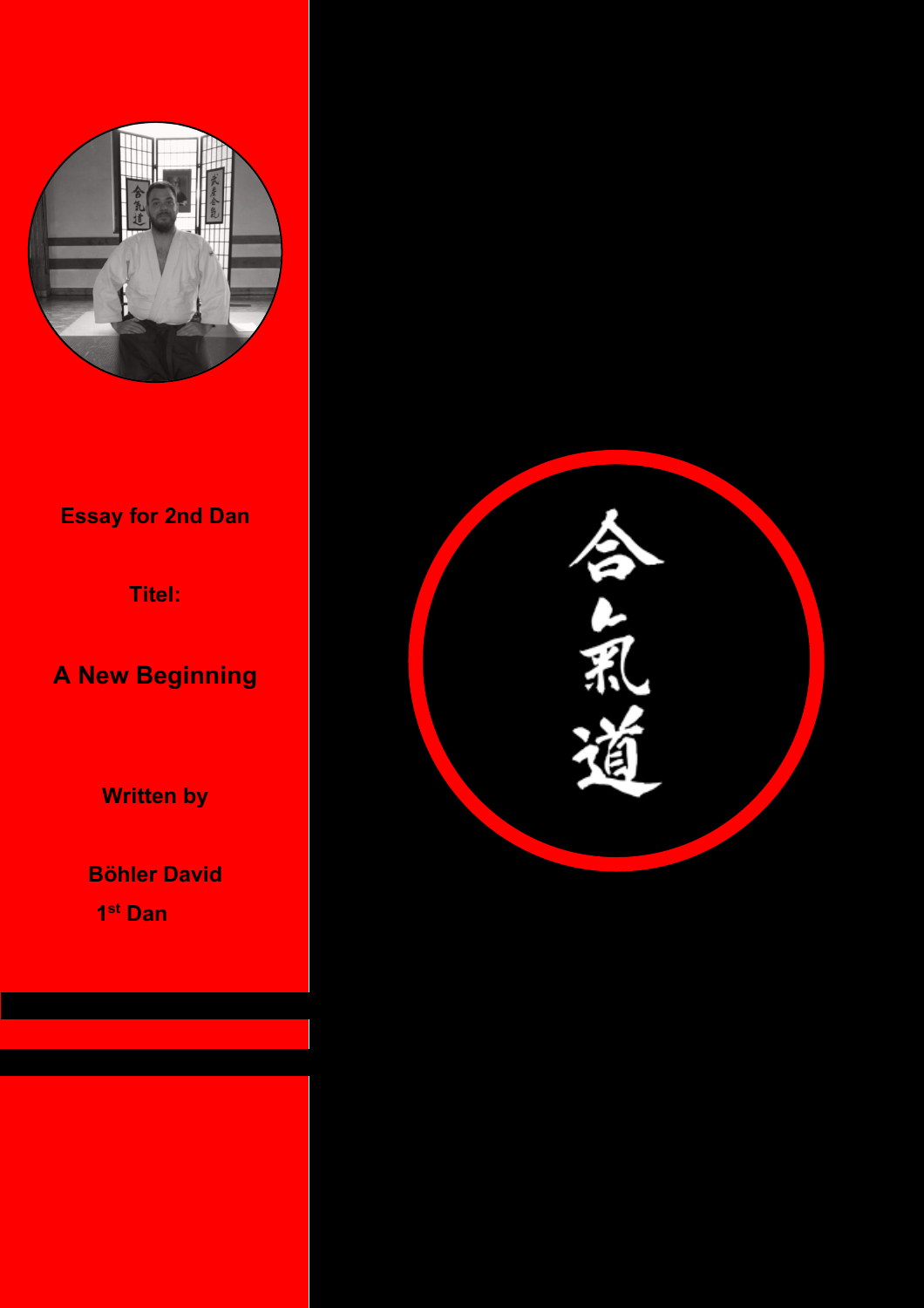

# **Essay for 2nd Dan**

**Titel:** 

**A New Beginning** 

**Written by** 

**Böhler David 1 st Dan** 

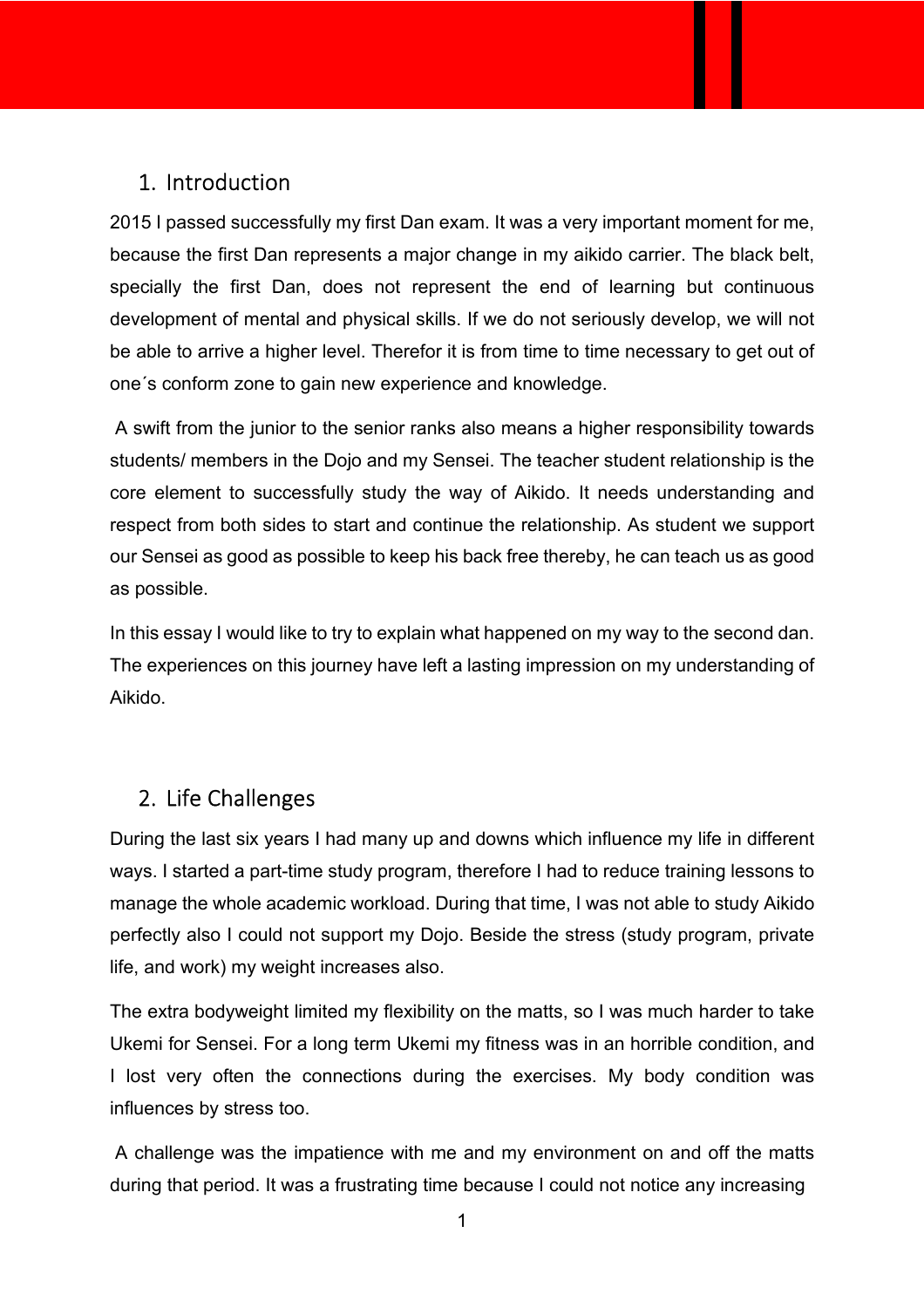### 1. Introduction

2015 I passed successfully my first Dan exam. It was a very important moment for me, because the first Dan represents a major change in my aikido carrier. The black belt, specially the first Dan, does not represent the end of learning but continuous development of mental and physical skills. If we do not seriously develop, we will not be able to arrive a higher level. Therefor it is from time to time necessary to get out of one´s conform zone to gain new experience and knowledge.

 A swift from the junior to the senior ranks also means a higher responsibility towards students/ members in the Dojo and my Sensei. The teacher student relationship is the core element to successfully study the way of Aikido. It needs understanding and respect from both sides to start and continue the relationship. As student we support our Sensei as good as possible to keep his back free thereby, he can teach us as good as possible.

In this essay I would like to try to explain what happened on my way to the second dan. The experiences on this journey have left a lasting impression on my understanding of Aikido.

## 2. Life Challenges

During the last six years I had many up and downs which influence my life in different ways. I started a part-time study program, therefore I had to reduce training lessons to manage the whole academic workload. During that time, I was not able to study Aikido perfectly also I could not support my Dojo. Beside the stress (study program, private life, and work) my weight increases also.

The extra bodyweight limited my flexibility on the matts, so I was much harder to take Ukemi for Sensei. For a long term Ukemi my fitness was in an horrible condition, and I lost very often the connections during the exercises. My body condition was influences by stress too.

 A challenge was the impatience with me and my environment on and off the matts during that period. It was a frustrating time because I could not notice any increasing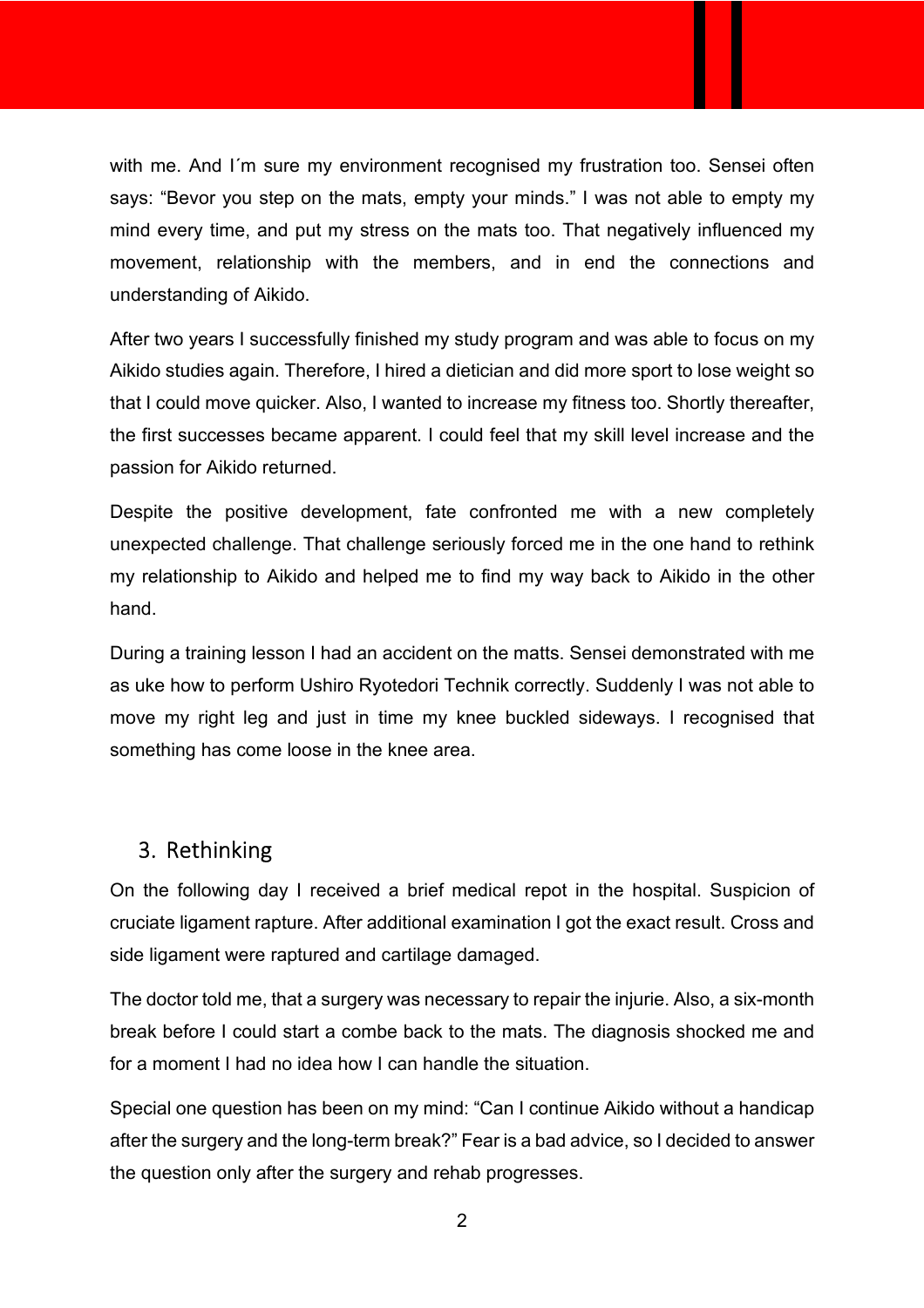with me. And I´m sure my environment recognised my frustration too. Sensei often says: "Bevor you step on the mats, empty your minds." I was not able to empty my mind every time, and put my stress on the mats too. That negatively influenced my movement, relationship with the members, and in end the connections and understanding of Aikido.

After two years I successfully finished my study program and was able to focus on my Aikido studies again. Therefore, I hired a dietician and did more sport to lose weight so that I could move quicker. Also, I wanted to increase my fitness too. Shortly thereafter, the first successes became apparent. I could feel that my skill level increase and the passion for Aikido returned.

Despite the positive development, fate confronted me with a new completely unexpected challenge. That challenge seriously forced me in the one hand to rethink my relationship to Aikido and helped me to find my way back to Aikido in the other hand.

During a training lesson I had an accident on the matts. Sensei demonstrated with me as uke how to perform Ushiro Ryotedori Technik correctly. Suddenly I was not able to move my right leg and just in time my knee buckled sideways. I recognised that something has come loose in the knee area.

## 3. Rethinking

On the following day I received a brief medical repot in the hospital. Suspicion of cruciate ligament rapture. After additional examination I got the exact result. Cross and side ligament were raptured and cartilage damaged.

The doctor told me, that a surgery was necessary to repair the injurie. Also, a six-month break before I could start a combe back to the mats. The diagnosis shocked me and for a moment I had no idea how I can handle the situation.

Special one question has been on my mind: "Can I continue Aikido without a handicap after the surgery and the long-term break?" Fear is a bad advice, so I decided to answer the question only after the surgery and rehab progresses.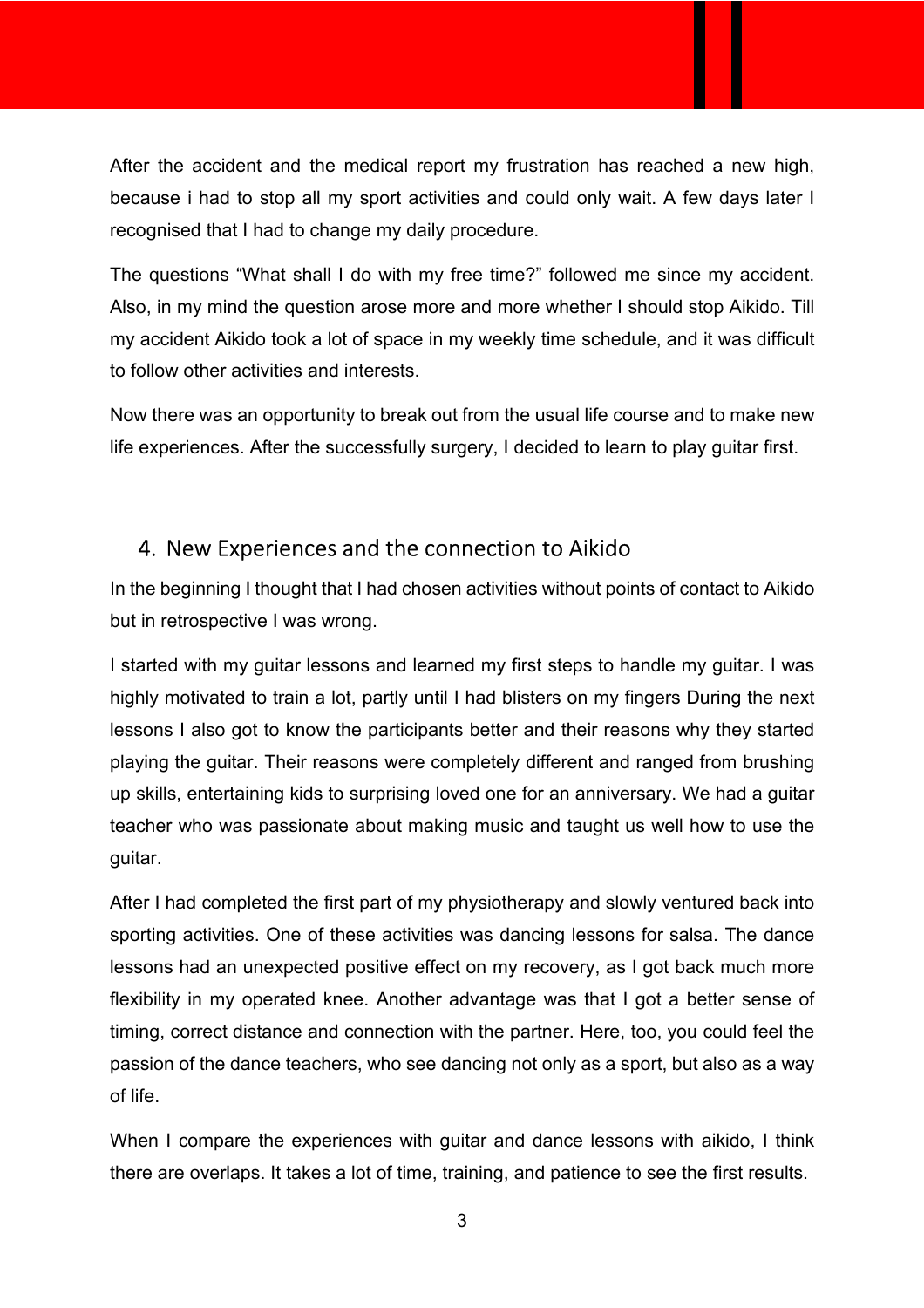After the accident and the medical report my frustration has reached a new high, because i had to stop all my sport activities and could only wait. A few days later I recognised that I had to change my daily procedure.

The questions "What shall I do with my free time?" followed me since my accident. Also, in my mind the question arose more and more whether I should stop Aikido. Till my accident Aikido took a lot of space in my weekly time schedule, and it was difficult to follow other activities and interests.

Now there was an opportunity to break out from the usual life course and to make new life experiences. After the successfully surgery, I decided to learn to play guitar first.

## 4. New Experiences and the connection to Aikido

In the beginning I thought that I had chosen activities without points of contact to Aikido but in retrospective I was wrong.

I started with my guitar lessons and learned my first steps to handle my guitar. I was highly motivated to train a lot, partly until I had blisters on my fingers During the next lessons I also got to know the participants better and their reasons why they started playing the guitar. Their reasons were completely different and ranged from brushing up skills, entertaining kids to surprising loved one for an anniversary. We had a guitar teacher who was passionate about making music and taught us well how to use the guitar.

After I had completed the first part of my physiotherapy and slowly ventured back into sporting activities. One of these activities was dancing lessons for salsa. The dance lessons had an unexpected positive effect on my recovery, as I got back much more flexibility in my operated knee. Another advantage was that I got a better sense of timing, correct distance and connection with the partner. Here, too, you could feel the passion of the dance teachers, who see dancing not only as a sport, but also as a way of life.

When I compare the experiences with guitar and dance lessons with aikido, I think there are overlaps. It takes a lot of time, training, and patience to see the first results.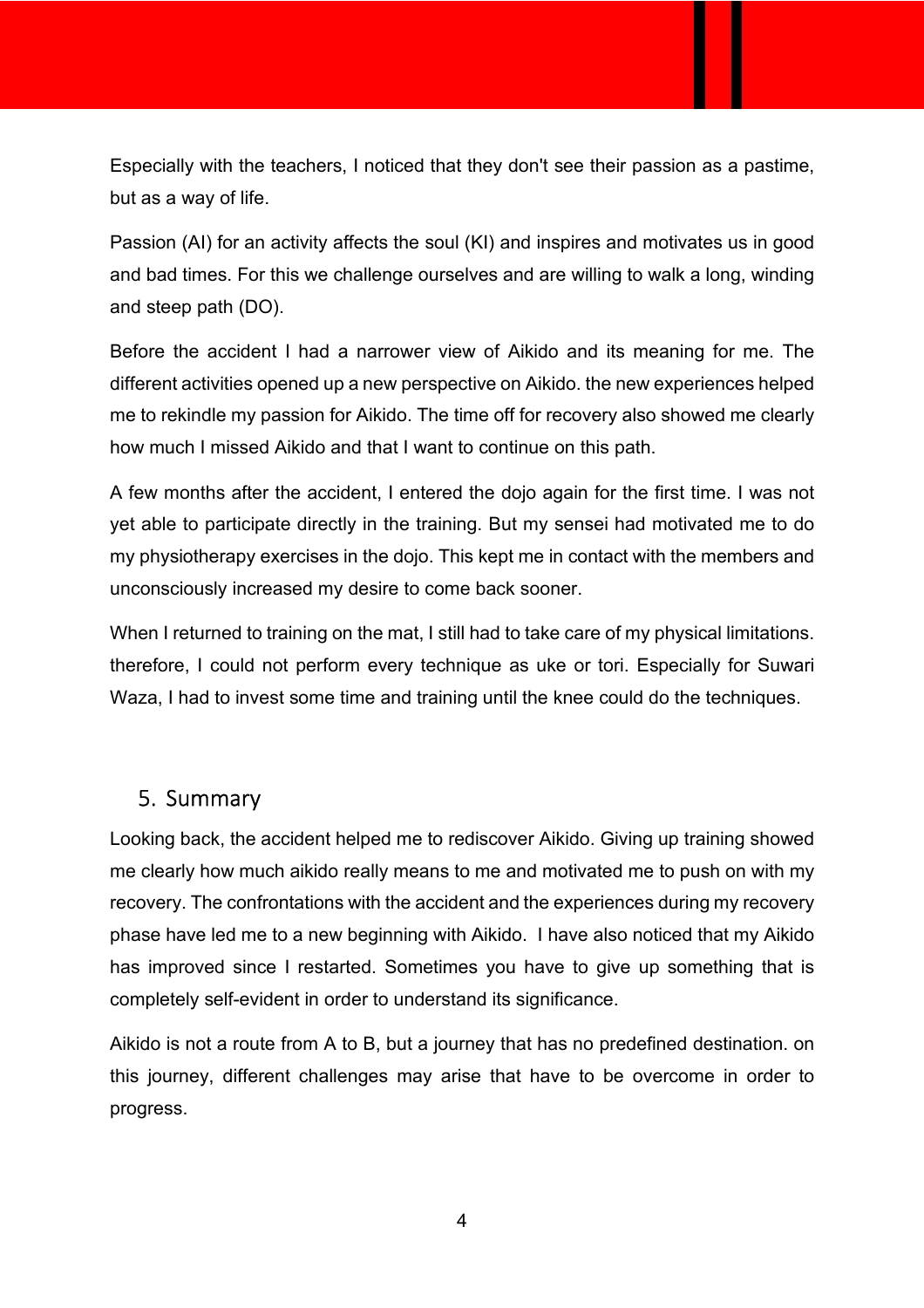Especially with the teachers, I noticed that they don't see their passion as a pastime, but as a way of life.

Passion (AI) for an activity affects the soul (KI) and inspires and motivates us in good and bad times. For this we challenge ourselves and are willing to walk a long, winding and steep path (DO).

Before the accident I had a narrower view of Aikido and its meaning for me. The different activities opened up a new perspective on Aikido. the new experiences helped me to rekindle my passion for Aikido. The time off for recovery also showed me clearly how much I missed Aikido and that I want to continue on this path.

A few months after the accident, I entered the dojo again for the first time. I was not yet able to participate directly in the training. But my sensei had motivated me to do my physiotherapy exercises in the dojo. This kept me in contact with the members and unconsciously increased my desire to come back sooner.

When I returned to training on the mat, I still had to take care of my physical limitations. therefore, I could not perform every technique as uke or tori. Especially for Suwari Waza, I had to invest some time and training until the knee could do the techniques.

## 5. Summary

Looking back, the accident helped me to rediscover Aikido. Giving up training showed me clearly how much aikido really means to me and motivated me to push on with my recovery. The confrontations with the accident and the experiences during my recovery phase have led me to a new beginning with Aikido. I have also noticed that my Aikido has improved since I restarted. Sometimes you have to give up something that is completely self-evident in order to understand its significance.

Aikido is not a route from A to B, but a journey that has no predefined destination. on this journey, different challenges may arise that have to be overcome in order to progress.

4